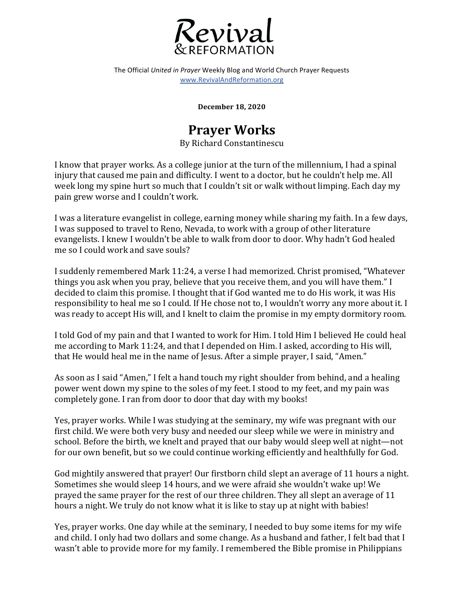

The Official *United in Prayer* Weekly Blog and World Church Prayer Requests www.RevivalAndReformation.org

**December 18, 2020**

## **Prayer Works**

By Richard Constantinescu

I know that prayer works. As a college junior at the turn of the millennium, I had a spinal injury that caused me pain and difficulty. I went to a doctor, but he couldn't help me. All week long my spine hurt so much that I couldn't sit or walk without limping. Each day my pain grew worse and I couldn't work.

I was a literature evangelist in college, earning money while sharing my faith. In a few days, I was supposed to travel to Reno, Nevada, to work with a group of other literature evangelists. I knew I wouldn't be able to walk from door to door. Why hadn't God healed me so I could work and save souls?

I suddenly remembered Mark 11:24, a verse I had memorized. Christ promised, "Whatever things you ask when you pray, believe that you receive them, and you will have them." I decided to claim this promise. I thought that if God wanted me to do His work, it was His responsibility to heal me so I could. If He chose not to, I wouldn't worry any more about it. I was ready to accept His will, and I knelt to claim the promise in my empty dormitory room.

I told God of my pain and that I wanted to work for Him. I told Him I believed He could heal me according to Mark 11:24, and that I depended on Him. I asked, according to His will, that He would heal me in the name of Jesus. After a simple prayer, I said, "Amen."

As soon as I said "Amen," I felt a hand touch my right shoulder from behind, and a healing power went down my spine to the soles of my feet. I stood to my feet, and my pain was completely gone. I ran from door to door that day with my books!

Yes, prayer works. While I was studying at the seminary, my wife was pregnant with our first child. We were both very busy and needed our sleep while we were in ministry and school. Before the birth, we knelt and prayed that our baby would sleep well at night—not for our own benefit, but so we could continue working efficiently and healthfully for God.

God mightily answered that prayer! Our firstborn child slept an average of 11 hours a night. Sometimes she would sleep 14 hours, and we were afraid she wouldn't wake up! We prayed the same prayer for the rest of our three children. They all slept an average of 11 hours a night. We truly do not know what it is like to stay up at night with babies!

Yes, prayer works. One day while at the seminary, I needed to buy some items for my wife and child. I only had two dollars and some change. As a husband and father, I felt bad that I wasn't able to provide more for my family. I remembered the Bible promise in Philippians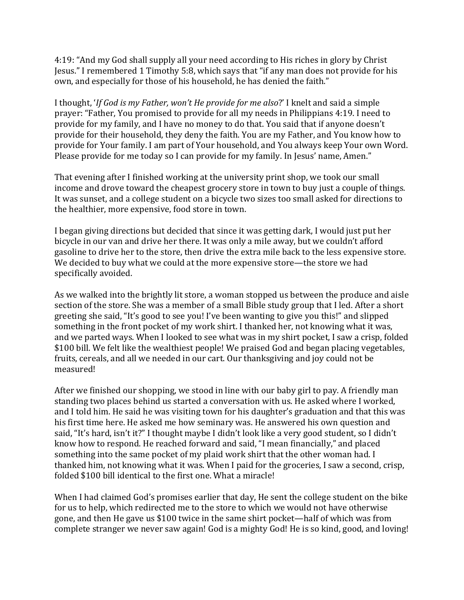4:19: "And my God shall supply all your need according to His riches in glory by Christ Jesus." I remembered 1 Timothy 5:8, which says that "if any man does not provide for his own, and especially for those of his household, he has denied the faith."

I thought, *'If God is my Father, won't He provide for me also*?' I knelt and said a simple prayer: "Father, You promised to provide for all my needs in Philippians 4:19. I need to provide for my family, and I have no money to do that. You said that if anyone doesn't provide for their household, they deny the faith. You are my Father, and You know how to provide for Your family. I am part of Your household, and You always keep Your own Word. Please provide for me today so I can provide for my family. In Jesus' name, Amen."

That evening after I finished working at the university print shop, we took our small income and drove toward the cheapest grocery store in town to buy just a couple of things. It was sunset, and a college student on a bicycle two sizes too small asked for directions to the healthier, more expensive, food store in town.

I began giving directions but decided that since it was getting dark, I would just put her bicycle in our van and drive her there. It was only a mile away, but we couldn't afford gasoline to drive her to the store, then drive the extra mile back to the less expensive store. We decided to buy what we could at the more expensive store—the store we had specifically avoided.

As we walked into the brightly lit store, a woman stopped us between the produce and aisle section of the store. She was a member of a small Bible study group that I led. After a short greeting she said, "It's good to see you! I've been wanting to give you this!" and slipped something in the front pocket of my work shirt. I thanked her, not knowing what it was, and we parted ways. When I looked to see what was in my shirt pocket, I saw a crisp, folded \$100 bill. We felt like the wealthiest people! We praised God and began placing vegetables, fruits, cereals, and all we needed in our cart. Our thanksgiving and joy could not be measured!

After we finished our shopping, we stood in line with our baby girl to pay. A friendly man standing two places behind us started a conversation with us. He asked where I worked, and I told him. He said he was visiting town for his daughter's graduation and that this was his first time here. He asked me how seminary was. He answered his own question and said, "It's hard, isn't it?" I thought maybe I didn't look like a very good student, so I didn't know how to respond. He reached forward and said, "I mean financially," and placed something into the same pocket of my plaid work shirt that the other woman had. I thanked him, not knowing what it was. When I paid for the groceries, I saw a second, crisp, folded \$100 bill identical to the first one. What a miracle!

When I had claimed God's promises earlier that day, He sent the college student on the bike for us to help, which redirected me to the store to which we would not have otherwise gone, and then He gave us \$100 twice in the same shirt pocket—half of which was from complete stranger we never saw again! God is a mighty God! He is so kind, good, and loving!